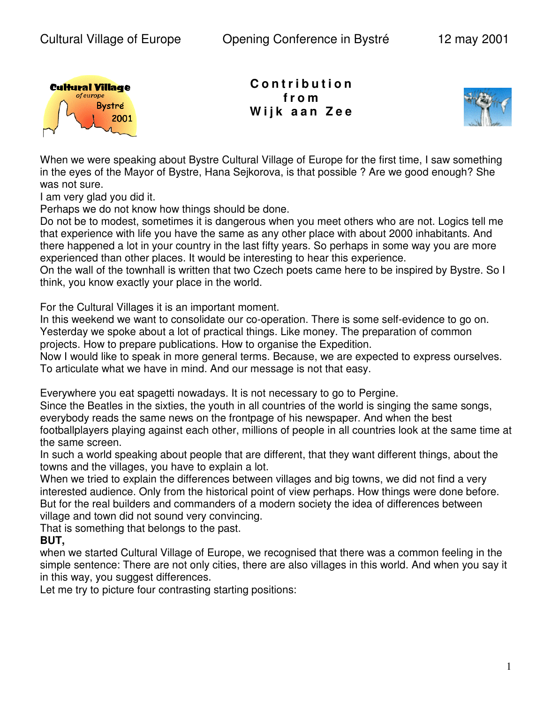

**C o n t r i b u t i o n f r o m W i j k a a n Z e e**



When we were speaking about Bystre Cultural Village of Europe for the first time, I saw something in the eyes of the Mayor of Bystre, Hana Sejkorova, is that possible ? Are we good enough? She was not sure.

I am very glad you did it.

Perhaps we do not know how things should be done.

Do not be to modest, sometimes it is dangerous when you meet others who are not. Logics tell me that experience with life you have the same as any other place with about 2000 inhabitants. And there happened a lot in your country in the last fifty years. So perhaps in some way you are more experienced than other places. It would be interesting to hear this experience.

On the wall of the townhall is written that two Czech poets came here to be inspired by Bystre. So I think, you know exactly your place in the world.

For the Cultural Villages it is an important moment.

In this weekend we want to consolidate our co-operation. There is some self-evidence to go on. Yesterday we spoke about a lot of practical things. Like money. The preparation of common projects. How to prepare publications. How to organise the Expedition.

Now I would like to speak in more general terms. Because, we are expected to express ourselves. To articulate what we have in mind. And our message is not that easy.

Everywhere you eat spagetti nowadays. It is not necessary to go to Pergine.

Since the Beatles in the sixties, the youth in all countries of the world is singing the same songs, everybody reads the same news on the frontpage of his newspaper. And when the best footballplayers playing against each other, millions of people in all countries look at the same time at the same screen.

In such a world speaking about people that are different, that they want different things, about the towns and the villages, you have to explain a lot.

When we tried to explain the differences between villages and big towns, we did not find a very interested audience. Only from the historical point of view perhaps. How things were done before. But for the real builders and commanders of a modern society the idea of differences between village and town did not sound very convincing.

That is something that belongs to the past.

## **BUT,**

when we started Cultural Village of Europe, we recognised that there was a common feeling in the simple sentence: There are not only cities, there are also villages in this world. And when you say it in this way, you suggest differences.

Let me try to picture four contrasting starting positions: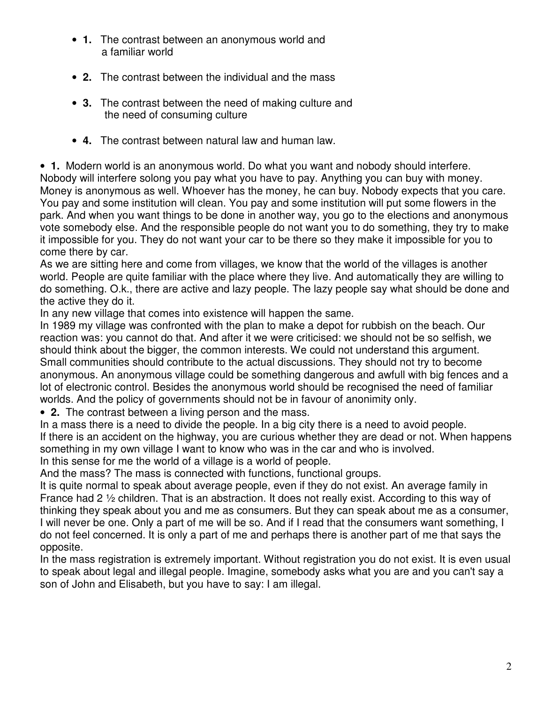- **1.** The contrast between an anonymous world and a familiar world
- **2.** The contrast between the individual and the mass
- **3.** The contrast between the need of making culture and the need of consuming culture
- **4.** The contrast between natural law and human law.

• **1.** Modern world is an anonymous world. Do what you want and nobody should interfere. Nobody will interfere solong you pay what you have to pay. Anything you can buy with money. Money is anonymous as well. Whoever has the money, he can buy. Nobody expects that you care. You pay and some institution will clean. You pay and some institution will put some flowers in the park. And when you want things to be done in another way, you go to the elections and anonymous vote somebody else. And the responsible people do not want you to do something, they try to make it impossible for you. They do not want your car to be there so they make it impossible for you to come there by car.

As we are sitting here and come from villages, we know that the world of the villages is another world. People are quite familiar with the place where they live. And automatically they are willing to do something. O.k., there are active and lazy people. The lazy people say what should be done and the active they do it.

In any new village that comes into existence will happen the same.

In 1989 my village was confronted with the plan to make a depot for rubbish on the beach. Our reaction was: you cannot do that. And after it we were criticised: we should not be so selfish, we should think about the bigger, the common interests. We could not understand this argument. Small communities should contribute to the actual discussions. They should not try to become anonymous. An anonymous village could be something dangerous and awfull with big fences and a lot of electronic control. Besides the anonymous world should be recognised the need of familiar worlds. And the policy of governments should not be in favour of anonimity only.

• **2.** The contrast between a living person and the mass.

In a mass there is a need to divide the people. In a big city there is a need to avoid people. If there is an accident on the highway, you are curious whether they are dead or not. When happens something in my own village I want to know who was in the car and who is involved. In this sense for me the world of a village is a world of people.

And the mass? The mass is connected with functions, functional groups.

It is quite normal to speak about average people, even if they do not exist. An average family in France had 2 ½ children. That is an abstraction. It does not really exist. According to this way of thinking they speak about you and me as consumers. But they can speak about me as a consumer, I will never be one. Only a part of me will be so. And if I read that the consumers want something, I do not feel concerned. It is only a part of me and perhaps there is another part of me that says the opposite.

In the mass registration is extremely important. Without registration you do not exist. It is even usual to speak about legal and illegal people. Imagine, somebody asks what you are and you can't say a son of John and Elisabeth, but you have to say: I am illegal.